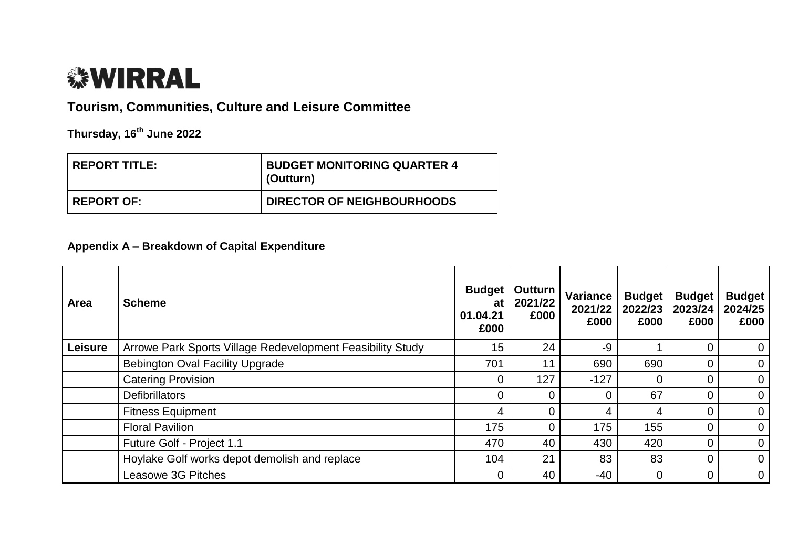

## **Tourism, Communities, Culture and Leisure Committee**

**Thursday, 16th June 2022**

| <b>REPORT TITLE:</b> | <b>BUDGET MONITORING QUARTER 4</b><br>(Outturn) |  |  |  |
|----------------------|-------------------------------------------------|--|--|--|
| <b>REPORT OF:</b>    | <b>DIRECTOR OF NEIGHBOURHOODS</b>               |  |  |  |

## **Appendix A – Breakdown of Capital Expenditure**

| Area    | <b>Scheme</b>                                              | <b>Budget</b><br>at l<br>01.04.21<br>£000 | Outturn<br>2021/22<br>£000 | Variance<br>2021/22<br>£000 | <b>Budget</b><br>2022/23<br>£000 | <b>Budget</b><br>2023/24<br>£000 | <b>Budget</b><br>2024/25<br>£000 |
|---------|------------------------------------------------------------|-------------------------------------------|----------------------------|-----------------------------|----------------------------------|----------------------------------|----------------------------------|
| Leisure | Arrowe Park Sports Village Redevelopment Feasibility Study | 15                                        | 24                         | $-9$                        |                                  | 0                                | $\overline{0}$                   |
|         | <b>Bebington Oval Facility Upgrade</b>                     | 701                                       | 11                         | 690                         | 690                              | 0                                | $\mathbf 0$                      |
|         | <b>Catering Provision</b>                                  | 0                                         | 127                        | $-127$                      | 0                                | 0                                | $\overline{0}$                   |
|         | <b>Defibrillators</b>                                      | $\overline{0}$                            | $\overline{0}$             | $\Omega$                    | 67                               | 0                                | $\mathbf 0$                      |
|         | <b>Fitness Equipment</b>                                   | 4                                         | 0                          | 4                           | 4                                | 0                                | $\mathbf 0$                      |
|         | <b>Floral Pavilion</b>                                     | 175                                       |                            | 175                         | 155                              | 0                                | $\overline{0}$                   |
|         | Future Golf - Project 1.1                                  | 470                                       | 40                         | 430                         | 420                              | 0                                | $\mathbf 0$                      |
|         | Hoylake Golf works depot demolish and replace              | 104                                       | 21                         | 83                          | 83                               | 0                                | $\overline{0}$                   |
|         | Leasowe 3G Pitches                                         | $\overline{0}$                            | 40                         | $-40$                       | $\Omega$                         | 0                                | $\overline{0}$                   |